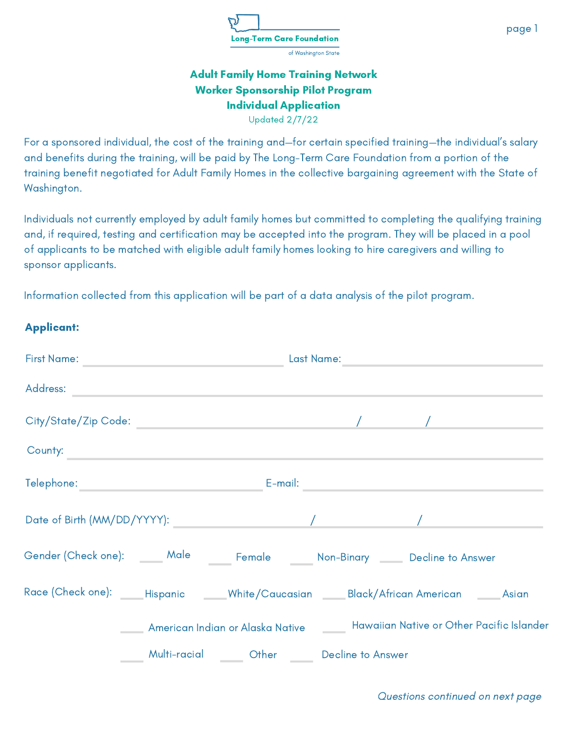

Updated 2/7/22

For a sponsored individual, the cost of the training and—for certain specified training—the individual's salary and benefits during the training, will be paid by The Long-Term Care Foundation from a portion of the training benefit negotiated for Adult Family Homes in the collective bargaining agreement with the State of Washington.

Individuals not currently employed by adult family homes but committed to completing the qualifying training and, if required, testing and certification may be accepted into the program. They will be placed in a pool of applicants to be matched with eligible adult family homes looking to hire caregivers and willing to sponsor applicants.

Information collected from this application will be part of a data analysis of the pilot program.

|  | <b>Applicant:</b> |
|--|-------------------|
|--|-------------------|

| erst Name: And The Manual Account of the Manual Account of the Manual Account of the Manual Account of the Manual Account of the Manual Account of the Manual Account of the Manual Account of the Manual Account of the Manua |                                                         |                                                                                    |  |
|--------------------------------------------------------------------------------------------------------------------------------------------------------------------------------------------------------------------------------|---------------------------------------------------------|------------------------------------------------------------------------------------|--|
|                                                                                                                                                                                                                                |                                                         |                                                                                    |  |
|                                                                                                                                                                                                                                |                                                         |                                                                                    |  |
| County:                                                                                                                                                                                                                        |                                                         |                                                                                    |  |
|                                                                                                                                                                                                                                |                                                         |                                                                                    |  |
|                                                                                                                                                                                                                                |                                                         |                                                                                    |  |
| Gender (Check one): ______ Male ______ Female ______ Non-Binary _____ Decline to Answer                                                                                                                                        |                                                         |                                                                                    |  |
| Race (Check one): Phispanic Mhite/Caucasian Black/African American Phispanian Asian                                                                                                                                            |                                                         |                                                                                    |  |
|                                                                                                                                                                                                                                |                                                         | American Indian or Alaska Native _______ Hawaiian Native or Other Pacific Islander |  |
|                                                                                                                                                                                                                                | _____ Multi-racial ______ Other _____ Decline to Answer |                                                                                    |  |

page 1

Questions continued on next page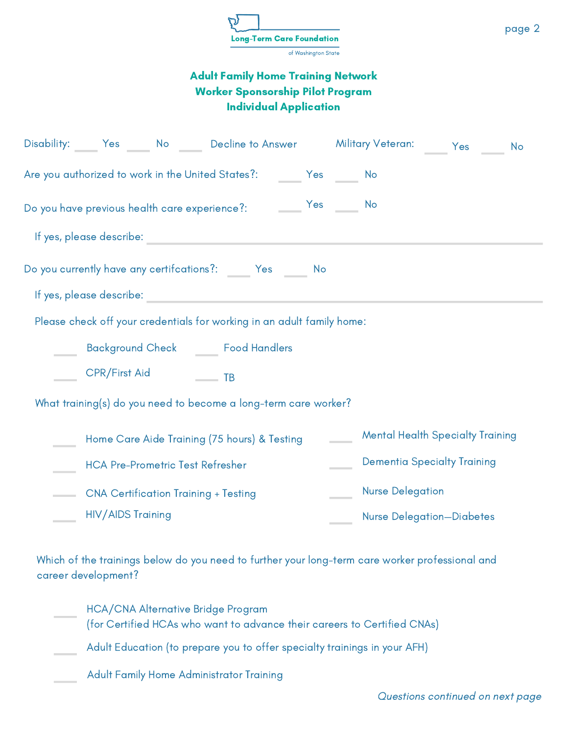| <b>Long-Term Care Foundation</b> |
|----------------------------------|
| of Washington State              |

|  |                          |  | Disability: Yes No Decline to Answer Military Veteran: Yes                                                    |    |  |                         |                                         | No |
|--|--------------------------|--|---------------------------------------------------------------------------------------------------------------|----|--|-------------------------|-----------------------------------------|----|
|  |                          |  | Are you authorized to work in the United States?: ________ Yes ______ No                                      |    |  |                         |                                         |    |
|  |                          |  |                                                                                                               |    |  |                         |                                         |    |
|  |                          |  | If yes, please describe: with a state of the state of the state of the state of the state of the state of the |    |  |                         |                                         |    |
|  |                          |  | Do you currently have any certifcations?: ______ Yes _____                                                    | No |  |                         |                                         |    |
|  | If yes, please describe: |  |                                                                                                               |    |  |                         |                                         |    |
|  |                          |  | Please check off your credentials for working in an adult family home:                                        |    |  |                         |                                         |    |
|  |                          |  | Background Check _______ Food Handlers                                                                        |    |  |                         |                                         |    |
|  | CPR/First Aid            |  | $\overline{\phantom{a}}$ TB                                                                                   |    |  |                         |                                         |    |
|  |                          |  | What training(s) do you need to become a long-term care worker?                                               |    |  |                         |                                         |    |
|  |                          |  | Home Care Aide Training (75 hours) & Testing                                                                  |    |  |                         | <b>Mental Health Specialty Training</b> |    |
|  |                          |  | <b>HCA Pre-Prometric Test Refresher</b>                                                                       |    |  |                         | <b>Dementia Specialty Training</b>      |    |
|  |                          |  | <b>CNA Certification Training + Testing</b>                                                                   |    |  | <b>Nurse Delegation</b> |                                         |    |
|  | <b>HIV/AIDS Training</b> |  |                                                                                                               |    |  |                         | <b>Nurse Delegation-Diabetes</b>        |    |

Which of the trainings below do you need to further your long-term care worker professional and career development?

| <b>HCA/CNA Alternative Bridge Program</b>                                 |
|---------------------------------------------------------------------------|
| (for Certified HCAs who want to advance their careers to Certified CNAs)  |
| Adult Education (to prepare you to offer specialty trainings in your AFH) |

Adult Family Home Administrator Training

page 2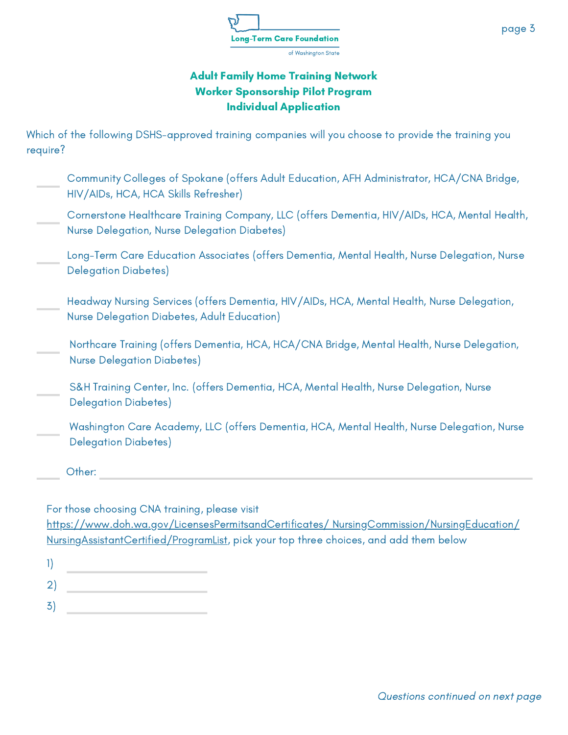

Which of the following DSHS-approved training companies will you choose to provide the training you require?

- Community Colleges of Spokane (offers Adult Education, AFH Administrator, HCA/CNA Bridge, HIV/AIDs, HCA, HCA Skills Refresher)
- Cornerstone Healthcare Training Company, LLC (offers Dementia, HIV/AIDs, HCA, Mental Health, Nurse Delegation, Nurse Delegation Diabetes)
- Long-Term Care Education Associates (offers Dementia, Mental Health, Nurse Delegation, Nurse Delegation Diabetes)
- Headway Nursing Services (offers Dementia, HIV/AIDs, HCA, Mental Health, Nurse Delegation, Nurse Delegation Diabetes, Adult Education)
- Northcare Training (offers Dementia, HCA, HCA/CNA Bridge, Mental Health, Nurse Delegation, Nurse Delegation Diabetes)
- S&H Training Center, Inc. (offers Dementia, HCA, Mental Health, Nurse Delegation, Nurse Delegation Diabetes)
- Washington Care Academy, LLC (offers Dementia, HCA, Mental Health, Nurse Delegation, Nurse Delegation Diabetes)

Other:

For those choosing CNA training, please visit

[https://www.doh.wa.gov/LicensesPermitsandCertificates/](https://www.doh.wa.gov/LicensesPermitsandCertificates/%20NursingCommission/NursingEducation/%20NursingAssistantCertified/ProgramList) NursingCommission/NursingEducation/ NursingAssistantCertified/ProgramList, pick your top three choices, and add them below

- 1)
- 2)
- 3)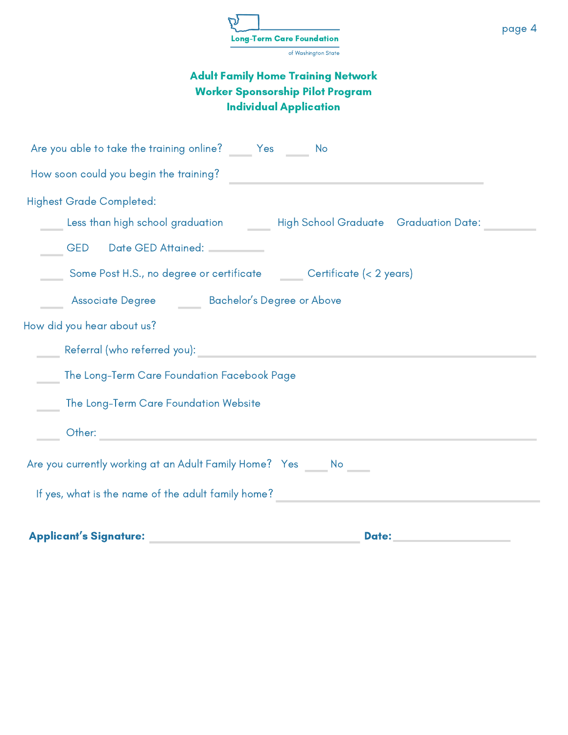| <b>Long-Term Care Foundation</b> |  |
|----------------------------------|--|
| of Washington State              |  |

| Are you able to take the training online? ______ Yes _______ No                                                                                                                                                                     |
|-------------------------------------------------------------------------------------------------------------------------------------------------------------------------------------------------------------------------------------|
| How soon could you begin the training?                                                                                                                                                                                              |
| <b>Highest Grade Completed:</b>                                                                                                                                                                                                     |
| Less than high school graduation ________ High School Graduate _Graduation Date: _                                                                                                                                                  |
| GED Date GED Attained: CED                                                                                                                                                                                                          |
| Some Post H.S., no degree or certificate _______ Certificate (< 2 years)                                                                                                                                                            |
| ______ Associate Degree ________ Bachelor's Degree or Above                                                                                                                                                                         |
| How did you hear about us?                                                                                                                                                                                                          |
| <b>Example 19 August 2018</b> Referred You): An alternative contract the contract of the contract of the contract of the                                                                                                            |
| The Long-Term Care Foundation Facebook Page                                                                                                                                                                                         |
| The Long-Term Care Foundation Website                                                                                                                                                                                               |
| <b>Expedition Other:</b> Production of the Contract of the Contract of the Contract of the Contract of the Contract of the Contract of the Contract of the Contract of the Contract of the Contract of the Contract of the Contract |
| Are you currently working at an Adult Family Home? Yes _____ No _____                                                                                                                                                               |
| If yes, what is the name of the adult family home? _____________________________                                                                                                                                                    |
| <b>Applicant's Signature:</b><br><b>Date:</b>                                                                                                                                                                                       |